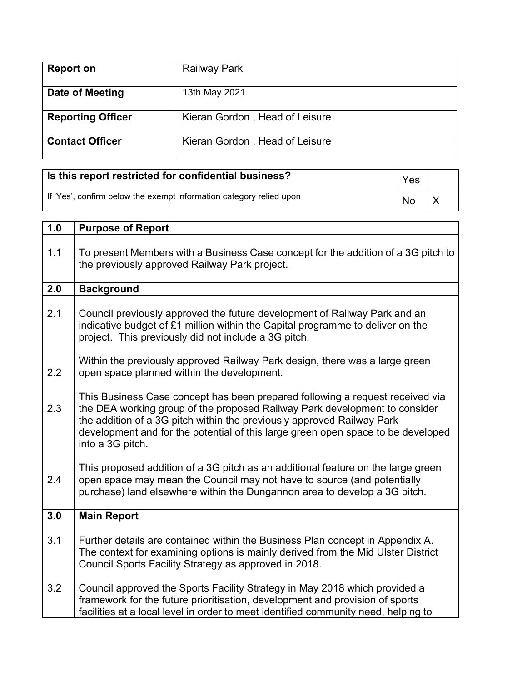| <b>Report on</b>         | <b>Railway Park</b>            |
|--------------------------|--------------------------------|
| Date of Meeting          | 13th May 2021                  |
| <b>Reporting Officer</b> | Kieran Gordon, Head of Leisure |
| <b>Contact Officer</b>   | Kieran Gordon, Head of Leisure |

| Is this report restricted for confidential business?                | Yes |                |
|---------------------------------------------------------------------|-----|----------------|
| If 'Yes', confirm below the exempt information category relied upon | No  | $\mathsf{I}$ X |

| 1.0 | <b>Purpose of Report</b>                                                                                                                                                                                                                                                                                                                      |
|-----|-----------------------------------------------------------------------------------------------------------------------------------------------------------------------------------------------------------------------------------------------------------------------------------------------------------------------------------------------|
| 1.1 | To present Members with a Business Case concept for the addition of a 3G pitch to<br>the previously approved Railway Park project.                                                                                                                                                                                                            |
| 2.0 | <b>Background</b>                                                                                                                                                                                                                                                                                                                             |
| 2.1 | Council previously approved the future development of Railway Park and an<br>indicative budget of £1 million within the Capital programme to deliver on the<br>project. This previously did not include a 3G pitch.                                                                                                                           |
| 2.2 | Within the previously approved Railway Park design, there was a large green<br>open space planned within the development.                                                                                                                                                                                                                     |
| 2.3 | This Business Case concept has been prepared following a request received via<br>the DEA working group of the proposed Railway Park development to consider<br>the addition of a 3G pitch within the previously approved Railway Park<br>development and for the potential of this large green open space to be developed<br>into a 3G pitch. |
| 2.4 | This proposed addition of a 3G pitch as an additional feature on the large green<br>open space may mean the Council may not have to source (and potentially<br>purchase) land elsewhere within the Dungannon area to develop a 3G pitch.                                                                                                      |
| 3.0 | <b>Main Report</b>                                                                                                                                                                                                                                                                                                                            |
| 3.1 | Further details are contained within the Business Plan concept in Appendix A.<br>The context for examining options is mainly derived from the Mid Ulster District<br>Council Sports Facility Strategy as approved in 2018.                                                                                                                    |
| 3.2 | Council approved the Sports Facility Strategy in May 2018 which provided a<br>framework for the future prioritisation, development and provision of sports<br>facilities at a local level in order to meet identified community need, helping to                                                                                              |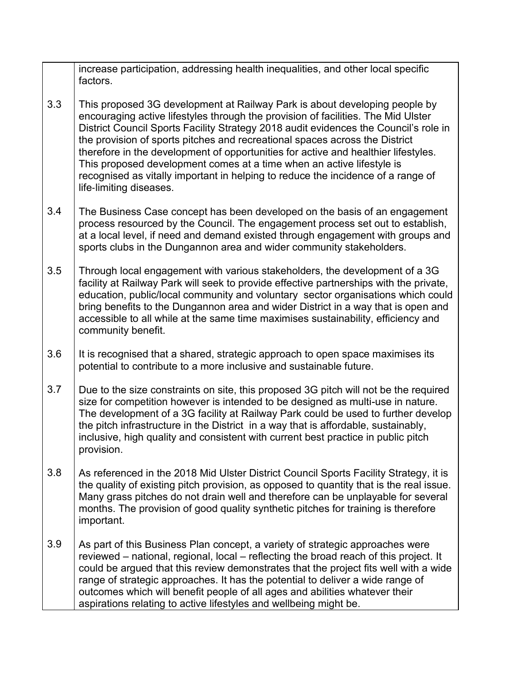|     | increase participation, addressing health inequalities, and other local specific<br>factors.                                                                                                                                                                                                                                                                                                                                                                                                                                                                                                                         |
|-----|----------------------------------------------------------------------------------------------------------------------------------------------------------------------------------------------------------------------------------------------------------------------------------------------------------------------------------------------------------------------------------------------------------------------------------------------------------------------------------------------------------------------------------------------------------------------------------------------------------------------|
| 3.3 | This proposed 3G development at Railway Park is about developing people by<br>encouraging active lifestyles through the provision of facilities. The Mid Ulster<br>District Council Sports Facility Strategy 2018 audit evidences the Council's role in<br>the provision of sports pitches and recreational spaces across the District<br>therefore in the development of opportunities for active and healthier lifestyles.<br>This proposed development comes at a time when an active lifestyle is<br>recognised as vitally important in helping to reduce the incidence of a range of<br>life-limiting diseases. |
| 3.4 | The Business Case concept has been developed on the basis of an engagement<br>process resourced by the Council. The engagement process set out to establish,<br>at a local level, if need and demand existed through engagement with groups and<br>sports clubs in the Dungannon area and wider community stakeholders.                                                                                                                                                                                                                                                                                              |
| 3.5 | Through local engagement with various stakeholders, the development of a 3G<br>facility at Railway Park will seek to provide effective partnerships with the private,<br>education, public/local community and voluntary sector organisations which could<br>bring benefits to the Dungannon area and wider District in a way that is open and<br>accessible to all while at the same time maximises sustainability, efficiency and<br>community benefit.                                                                                                                                                            |
| 3.6 | It is recognised that a shared, strategic approach to open space maximises its<br>potential to contribute to a more inclusive and sustainable future.                                                                                                                                                                                                                                                                                                                                                                                                                                                                |
| 3.7 | Due to the size constraints on site, this proposed 3G pitch will not be the required<br>size for competition however is intended to be designed as multi-use in nature.<br>The development of a 3G facility at Railway Park could be used to further develop<br>the pitch infrastructure in the District in a way that is affordable, sustainably,<br>inclusive, high quality and consistent with current best practice in public pitch<br>provision.                                                                                                                                                                |
| 3.8 | As referenced in the 2018 Mid Ulster District Council Sports Facility Strategy, it is<br>the quality of existing pitch provision, as opposed to quantity that is the real issue.<br>Many grass pitches do not drain well and therefore can be unplayable for several<br>months. The provision of good quality synthetic pitches for training is therefore<br>important.                                                                                                                                                                                                                                              |
| 3.9 | As part of this Business Plan concept, a variety of strategic approaches were<br>reviewed – national, regional, local – reflecting the broad reach of this project. It<br>could be argued that this review demonstrates that the project fits well with a wide<br>range of strategic approaches. It has the potential to deliver a wide range of<br>outcomes which will benefit people of all ages and abilities whatever their<br>aspirations relating to active lifestyles and wellbeing might be.                                                                                                                 |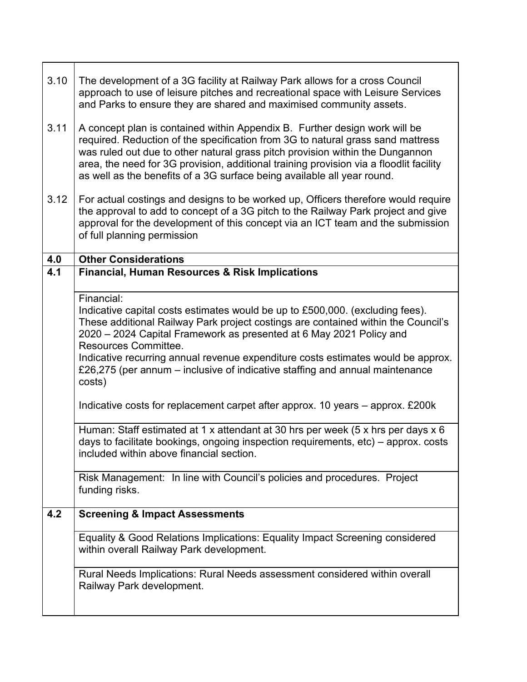| 3.10 | The development of a 3G facility at Railway Park allows for a cross Council<br>approach to use of leisure pitches and recreational space with Leisure Services<br>and Parks to ensure they are shared and maximised community assets.                                                                                                                                                                               |
|------|---------------------------------------------------------------------------------------------------------------------------------------------------------------------------------------------------------------------------------------------------------------------------------------------------------------------------------------------------------------------------------------------------------------------|
| 3.11 | A concept plan is contained within Appendix B. Further design work will be<br>required. Reduction of the specification from 3G to natural grass sand mattress<br>was ruled out due to other natural grass pitch provision within the Dungannon<br>area, the need for 3G provision, additional training provision via a floodlit facility<br>as well as the benefits of a 3G surface being available all year round. |
| 3.12 | For actual costings and designs to be worked up, Officers therefore would require<br>the approval to add to concept of a 3G pitch to the Railway Park project and give<br>approval for the development of this concept via an ICT team and the submission<br>of full planning permission                                                                                                                            |
| 4.0  | <b>Other Considerations</b>                                                                                                                                                                                                                                                                                                                                                                                         |
| 4.1  | <b>Financial, Human Resources &amp; Risk Implications</b>                                                                                                                                                                                                                                                                                                                                                           |
|      |                                                                                                                                                                                                                                                                                                                                                                                                                     |
|      | Financial:                                                                                                                                                                                                                                                                                                                                                                                                          |
|      | Indicative capital costs estimates would be up to £500,000. (excluding fees).                                                                                                                                                                                                                                                                                                                                       |
|      | These additional Railway Park project costings are contained within the Council's<br>2020 - 2024 Capital Framework as presented at 6 May 2021 Policy and<br>Resources Committee.                                                                                                                                                                                                                                    |
|      | Indicative recurring annual revenue expenditure costs estimates would be approx.<br>£26,275 (per annum – inclusive of indicative staffing and annual maintenance<br>costs)                                                                                                                                                                                                                                          |
|      | Indicative costs for replacement carpet after approx. 10 years - approx. £200k                                                                                                                                                                                                                                                                                                                                      |
|      | Human: Staff estimated at 1 x attendant at 30 hrs per week (5 x hrs per days x 6<br>days to facilitate bookings, ongoing inspection requirements, etc) – approx. costs<br>included within above financial section.                                                                                                                                                                                                  |
|      | Risk Management: In line with Council's policies and procedures. Project<br>funding risks.                                                                                                                                                                                                                                                                                                                          |
| 4.2  | <b>Screening &amp; Impact Assessments</b>                                                                                                                                                                                                                                                                                                                                                                           |
|      | Equality & Good Relations Implications: Equality Impact Screening considered<br>within overall Railway Park development.                                                                                                                                                                                                                                                                                            |
|      | Rural Needs Implications: Rural Needs assessment considered within overall<br>Railway Park development.                                                                                                                                                                                                                                                                                                             |
|      |                                                                                                                                                                                                                                                                                                                                                                                                                     |